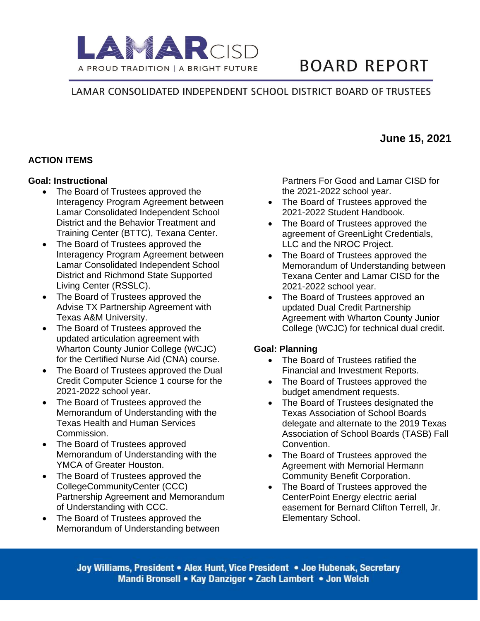

# **BOARD REPORT**

# LAMAR CONSOLIDATED INDEPENDENT SCHOOL DISTRICT BOARD OF TRUSTEES

# **ACTION ITEMS**

#### **Goal: Instructional**

- The Board of Trustees approved the Interagency Program Agreement between Lamar Consolidated Independent School District and the Behavior Treatment and Training Center (BTTC), Texana Center.
- The Board of Trustees approved the Interagency Program Agreement between Lamar Consolidated Independent School District and Richmond State Supported Living Center (RSSLC).
- The Board of Trustees approved the Advise TX Partnership Agreement with Texas A&M University.
- The Board of Trustees approved the updated articulation agreement with Wharton County Junior College (WCJC) for the Certified Nurse Aid (CNA) course.
- The Board of Trustees approved the Dual Credit Computer Science 1 course for the 2021-2022 school year.
- The Board of Trustees approved the Memorandum of Understanding with the Texas Health and Human Services Commission.
- The Board of Trustees approved Memorandum of Understanding with the YMCA of Greater Houston.
- The Board of Trustees approved the CollegeCommunityCenter (CCC) Partnership Agreement and Memorandum of Understanding with CCC.
- The Board of Trustees approved the Memorandum of Understanding between

Partners For Good and Lamar CISD for the 2021-2022 school year.

- The Board of Trustees approved the 2021-2022 Student Handbook.
- The Board of Trustees approved the agreement of GreenLight Credentials, LLC and the NROC Project.
- The Board of Trustees approved the Memorandum of Understanding between Texana Center and Lamar CISD for the 2021-2022 school year.
- The Board of Trustees approved an updated Dual Credit Partnership Agreement with Wharton County Junior College (WCJC) for technical dual credit.

#### **Goal: Planning**

- The Board of Trustees ratified the Financial and Investment Reports.
- The Board of Trustees approved the budget amendment requests.
- The Board of Trustees designated the Texas Association of School Boards delegate and alternate to the 2019 Texas Association of School Boards (TASB) Fall Convention.
- The Board of Trustees approved the Agreement with Memorial Hermann Community Benefit Corporation.
- The Board of Trustees approved the CenterPoint Energy electric aerial easement for Bernard Clifton Terrell, Jr. Elementary School.

Joy Williams, President • Alex Hunt, Vice President • Joe Hubenak, Secretary Mandi Bronsell • Kay Danziger • Zach Lambert • Jon Welch

# **June 15, 2021**